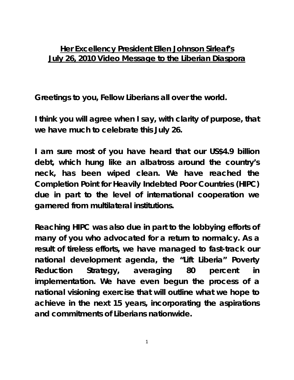## **Her Excellency President Ellen Johnson Sirleaf's July 26, 2010 Video Message to the Liberian Diaspora**

**Greetings to you, Fellow Liberians all over the world.** 

**I think you will agree when I say, with clarity of purpose, that we have much to celebrate this July 26.** 

**I am sure most of you have heard that our US\$4.9 billion debt, which hung like an albatross around the country's neck, has been wiped clean. We have reached the Completion Point for Heavily Indebted Poor Countries (HIPC) due in part to the level of international cooperation we garnered from multilateral institutions.** 

**Reaching HIPC was also due in part to the lobbying efforts of many of you who advocated for a return to normalcy. As a result of tireless efforts, we have managed to fast-track our national development agenda, the "Lift Liberia" Poverty Reduction Strategy, averaging 80 percent in implementation. We have even begun the process of a national visioning exercise that will outline what we hope to achieve in the next 15 years, incorporating the aspirations and commitments of Liberians nationwide.**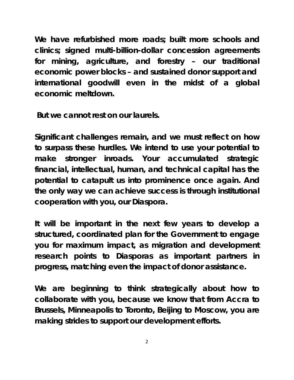**We have refurbished more roads; built more schools and clinics; signed multi-billion-dollar concession agreements for mining, agriculture, and forestry – our traditional economic power blocks – and sustained donor support and international goodwill even in the midst of a global economic meltdown.** 

 **But we cannot rest on our laurels.** 

**Significant challenges remain, and we must reflect on how to surpass these hurdles. We intend to use your potential to make stronger inroads. Your accumulated strategic financial, intellectual, human, and technical capital has the potential to catapult us into prominence once again. And the only way we can achieve success is through institutional cooperation with you, our Diaspora.** 

**It will be important in the next few years to develop a structured, coordinated plan for the Government to engage you for maximum impact, as migration and development research points to Diasporas as important partners in progress, matching even the impact of donor assistance.** 

**We are beginning to think strategically about how to collaborate with you, because we know that from Accra to Brussels, Minneapolis to Toronto, Beijing to Moscow, you are making strides to support our development efforts.** 

2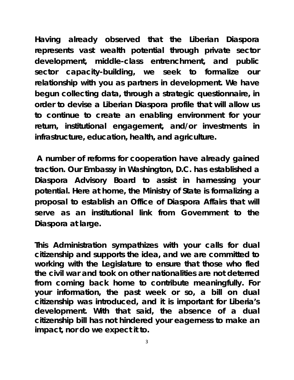**Having already observed that the Liberian Diaspora represents vast wealth potential through private sector development, middle-class entrenchment, and public sector capacity-building, we seek to formalize our relationship with you as partners in development. We have begun collecting data, through a strategic questionnaire, in order to devise a Liberian Diaspora profile that will allow us to continue to create an enabling environment for your return, institutional engagement, and/or investments in infrastructure, education, health, and agriculture.** 

 **A number of reforms for cooperation have already gained traction. Our Embassy in Washington, D.C. has established a Diaspora Advisory Board to assist in harnessing your potential. Here at home, the Ministry of State is formalizing a proposal to establish an Office of Diaspora Affairs that will serve as an institutional link from Government to the Diaspora at large.** 

**This Administration sympathizes with your calls for dual citizenship and supports the idea, and we are committed to working with the Legislature to ensure that those who fled the civil war and took on other nationalities are not deterred from coming back home to contribute meaningfully. For your information, the past week or so, a bill on dual citizenship was introduced, and it is important for Liberia's development. With that said, the absence of a dual citizenship bill has not hindered your eagerness to make an impact, nor do we expect it to.**